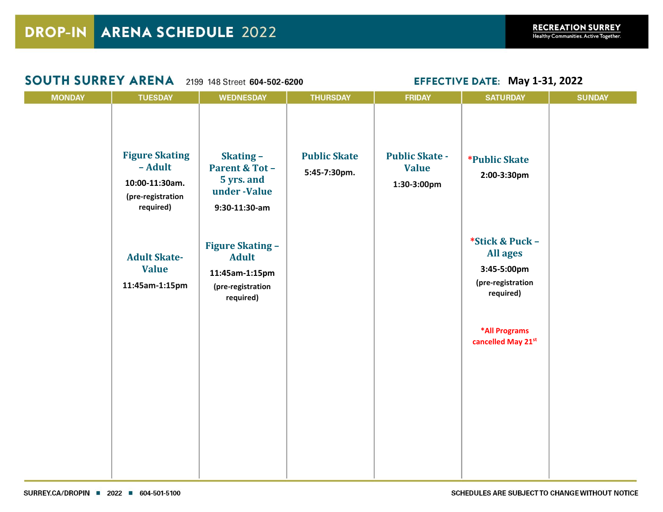| <b>SOUTH SURREY ARENA</b> |                                                                                      | 2199 148 Street 604-502-6200                                                                | <b>EFFECTIVE DATE: May 1-31, 2022</b> |                                                      |                                                                                     |               |
|---------------------------|--------------------------------------------------------------------------------------|---------------------------------------------------------------------------------------------|---------------------------------------|------------------------------------------------------|-------------------------------------------------------------------------------------|---------------|
| <b>MONDAY</b>             | <b>TUESDAY</b>                                                                       | <b>WEDNESDAY</b>                                                                            | <b>THURSDAY</b>                       | <b>FRIDAY</b>                                        | <b>SATURDAY</b>                                                                     | <b>SUNDAY</b> |
|                           | <b>Figure Skating</b><br>- Adult<br>10:00-11:30am.<br>(pre-registration<br>required) | Skating-<br><b>Parent &amp; Tot -</b><br>5 yrs. and<br>under -Value<br>$9:30-11:30-am$      | <b>Public Skate</b><br>5:45-7:30pm.   | <b>Public Skate -</b><br><b>Value</b><br>1:30-3:00pm | <i><b>*Public Skate</b></i><br>2:00-3:30pm                                          |               |
|                           | <b>Adult Skate-</b><br><b>Value</b><br>11:45am-1:15pm                                | <b>Figure Skating -</b><br><b>Adult</b><br>11:45am-1:15pm<br>(pre-registration<br>required) |                                       |                                                      | *Stick & Puck -<br><b>All ages</b><br>3:45-5:00pm<br>(pre-registration<br>required) |               |
|                           |                                                                                      |                                                                                             |                                       |                                                      | *All Programs<br>cancelled May 21st                                                 |               |
|                           |                                                                                      |                                                                                             |                                       |                                                      |                                                                                     |               |
|                           |                                                                                      |                                                                                             |                                       |                                                      |                                                                                     |               |